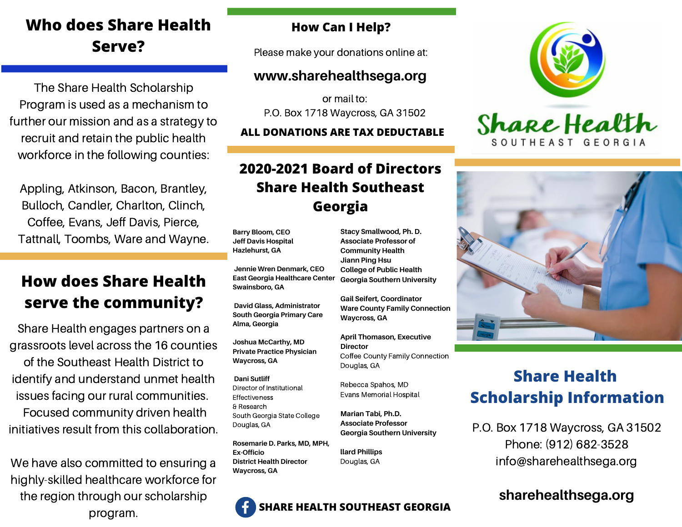# **Who does Share Health Serve?**

The Share Health Scholarship Program is used as a mechanism to further our mission and as a strategy to recruit and retain the public health workforce in the following counties:

Appling, Atkinson, Bacon, Brantley, Bulloch, Candler, Charlton, Clinch, Coffee, Evans, Jeff Davis, Pierce, Tattnall, Toombs, Ware and Wayne.

## **How does Share Health serve the community?**

Share Health engages partners on a grassroots level across the 16 counties of the Southeast Health District to identify and understand unmet health

issues facing our rural communities. Focused community driven health initiatives result from this collaboration.

We have also committed to ensuring a highly-skilled healthcare workforce for the region through our scholarship program.

#### **How Can I Help?**

Please make your donations online at:

#### **www.sharehealthsega.org**

or mail to: P.O. Box 1718 Waycross, GA 31502

**ALL DONATIONS ARE TAX DEDUCTABLE**

## **2020-2021 Board of Directors Share Health Southeast Georgia**

**Barry Bloom, CEO Jeff Davis Hospital Hazlehurst, GA**

**Jennie Wren Denmark, CEO East Georgia Healthcare Center Swainsboro, GA**

**David Glass, Administrator South Georgia Primary Care Alma, Georgia**

**Joshua McCarthy, MD Private Practice Physician Waycross, GA**

**Dani Sutliff** Director of Institutional Effectiveness & Research South Georgia State College Douglas, GA

**Rosemarie D. Parks, MD, MPH, Ex-Officio District Health Director Waycross, GA**

**Stacy Smallwood, Ph. D. Associate Professor of Community Health Jiann Ping Hsu College of Public Health Georgia Southern University**

**Gail Seifert, Coordinator Ware County Family Connection Waycross, GA**

**April Thomason, Executive Director** Coffee County Family Connection Douglas, GA

Rebecca Spahos, MD Evans Memorial Hospital

**Marian Tabi, Ph.D. Associate Professor Georgia Southern University**

**llard Phillips** Douglas, GA





# **Share Health Scholarship Information**

P.O. Box 1718 Waycross, GA 31502 Phone: (912) 682-3528 info@sharehealthsega.org

### **sharehealthsega.org**

**SHARE HEALTH SOUTHEAST GEORGIA**